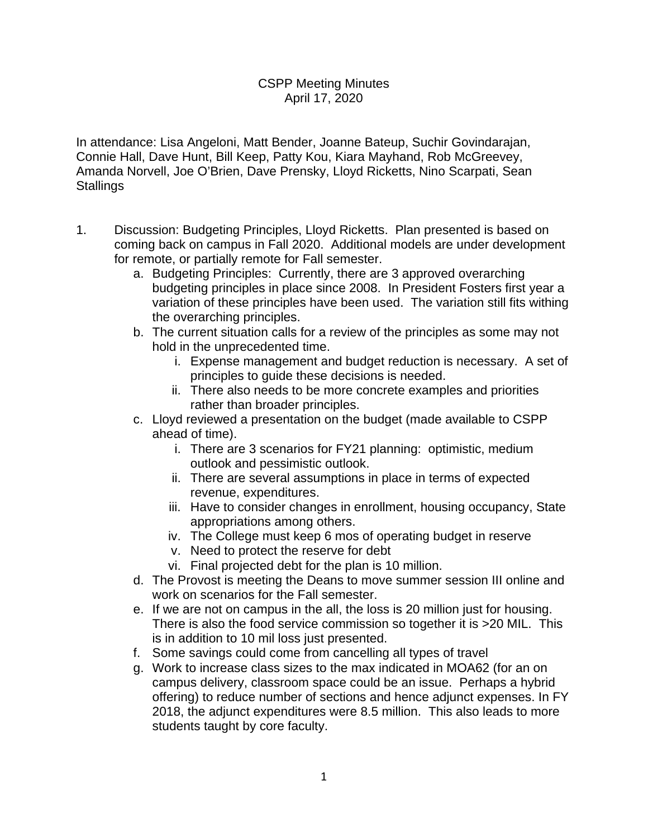## CSPP Meeting Minutes April 17, 2020

In attendance: Lisa Angeloni, Matt Bender, Joanne Bateup, Suchir Govindarajan, Connie Hall, Dave Hunt, Bill Keep, Patty Kou, Kiara Mayhand, Rob McGreevey, Amanda Norvell, Joe O'Brien, Dave Prensky, Lloyd Ricketts, Nino Scarpati, Sean **Stallings** 

- 1. Discussion: Budgeting Principles, Lloyd Ricketts. Plan presented is based on coming back on campus in Fall 2020. Additional models are under development for remote, or partially remote for Fall semester.
	- a. Budgeting Principles: Currently, there are 3 approved overarching budgeting principles in place since 2008. In President Fosters first year a variation of these principles have been used. The variation still fits withing the overarching principles.
	- b. The current situation calls for a review of the principles as some may not hold in the unprecedented time.
		- i. Expense management and budget reduction is necessary. A set of principles to guide these decisions is needed.
		- ii. There also needs to be more concrete examples and priorities rather than broader principles.
	- c. Lloyd reviewed a presentation on the budget (made available to CSPP ahead of time).
		- i. There are 3 scenarios for FY21 planning: optimistic, medium outlook and pessimistic outlook.
		- ii. There are several assumptions in place in terms of expected revenue, expenditures.
		- iii. Have to consider changes in enrollment, housing occupancy, State appropriations among others.
		- iv. The College must keep 6 mos of operating budget in reserve
		- v. Need to protect the reserve for debt
		- vi. Final projected debt for the plan is 10 million.
	- d. The Provost is meeting the Deans to move summer session III online and work on scenarios for the Fall semester.
	- e. If we are not on campus in the all, the loss is 20 million just for housing. There is also the food service commission so together it is >20 MIL. This is in addition to 10 mil loss just presented.
	- f. Some savings could come from cancelling all types of travel
	- g. Work to increase class sizes to the max indicated in MOA62 (for an on campus delivery, classroom space could be an issue. Perhaps a hybrid offering) to reduce number of sections and hence adjunct expenses. In FY 2018, the adjunct expenditures were 8.5 million. This also leads to more students taught by core faculty.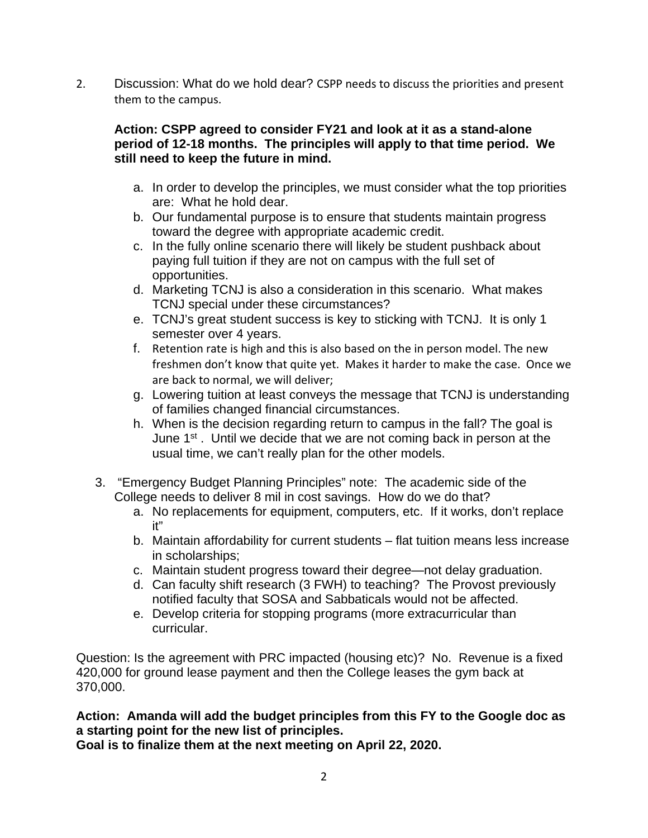2. Discussion: What do we hold dear? CSPP needs to discuss the priorities and present them to the campus.

## **Action: CSPP agreed to consider FY21 and look at it as a stand-alone period of 12-18 months. The principles will apply to that time period. We still need to keep the future in mind.**

- a. In order to develop the principles, we must consider what the top priorities are: What he hold dear.
- b. Our fundamental purpose is to ensure that students maintain progress toward the degree with appropriate academic credit.
- c. In the fully online scenario there will likely be student pushback about paying full tuition if they are not on campus with the full set of opportunities.
- d. Marketing TCNJ is also a consideration in this scenario. What makes TCNJ special under these circumstances?
- e. TCNJ's great student success is key to sticking with TCNJ. It is only 1 semester over 4 years.
- f. Retention rate is high and this is also based on the in person model. The new freshmen don't know that quite yet. Makes it harder to make the case. Once we are back to normal, we will deliver;
- g. Lowering tuition at least conveys the message that TCNJ is understanding of families changed financial circumstances.
- h. When is the decision regarding return to campus in the fall? The goal is June 1<sup>st</sup>. Until we decide that we are not coming back in person at the usual time, we can't really plan for the other models.
- 3. "Emergency Budget Planning Principles" note: The academic side of the College needs to deliver 8 mil in cost savings. How do we do that?
	- a. No replacements for equipment, computers, etc. If it works, don't replace it"
	- b. Maintain affordability for current students flat tuition means less increase in scholarships;
	- c. Maintain student progress toward their degree—not delay graduation.
	- d. Can faculty shift research (3 FWH) to teaching? The Provost previously notified faculty that SOSA and Sabbaticals would not be affected.
	- e. Develop criteria for stopping programs (more extracurricular than curricular.

Question: Is the agreement with PRC impacted (housing etc)? No. Revenue is a fixed 420,000 for ground lease payment and then the College leases the gym back at 370,000.

**Action: Amanda will add the budget principles from this FY to the Google doc as a starting point for the new list of principles.** 

**Goal is to finalize them at the next meeting on April 22, 2020.**